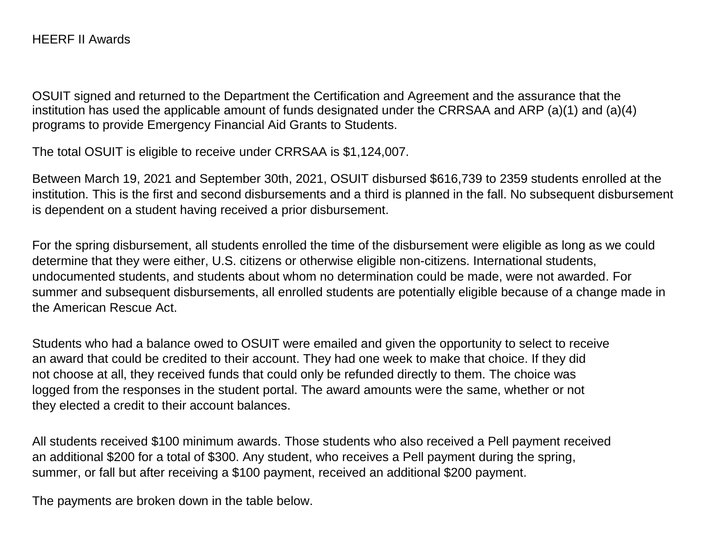OSUIT signed and returned to the Department the Certification and Agreement and the assurance that the institution has used the applicable amount of funds designated under the CRRSAA and ARP (a)(1) and (a)(4) programs to provide Emergency Financial Aid Grants to Students.

The total OSUIT is eligible to receive under CRRSAA is \$1,124,007.

Between March 19, 2021 and September 30th, 2021, OSUIT disbursed \$616,739 to 2359 students enrolled at the institution. This is the first and second disbursements and a third is planned in the fall. No subsequent disbursement is dependent on a student having received a prior disbursement.

For the spring disbursement, all students enrolled the time of the disbursement were eligible as long as we could determine that they were either, U.S. citizens or otherwise eligible non-citizens. International students, undocumented students, and students about whom no determination could be made, were not awarded. For summer and subsequent disbursements, all enrolled students are potentially eligible because of a change made in the American Rescue Act.

Students who had a balance owed to OSUIT were emailed and given the opportunity to select to receive an award that could be credited to their account. They had one week to make that choice. If they did not choose at all, they received funds that could only be refunded directly to them. The choice was logged from the responses in the student portal. The award amounts were the same, whether or not they elected a credit to their account balances.

All students received \$100 minimum awards. Those students who also received a Pell payment received an additional \$200 for a total of \$300. Any student, who receives a Pell payment during the spring, summer, or fall but after receiving a \$100 payment, received an additional \$200 payment.

The payments are broken down in the table below.